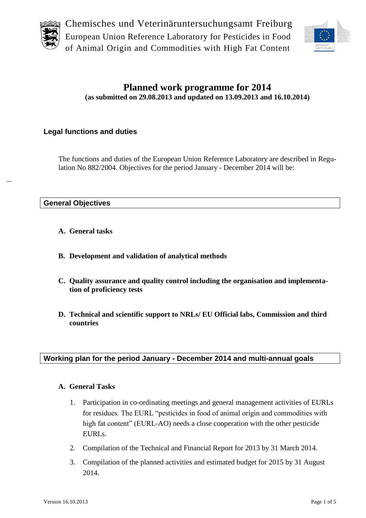



## **Planned work programme for 2014 (as submitted on 29.08.2013 and updated on 13.09.2013 and 16.10.2014)**

## **Legal functions and duties**

The functions and duties of the European Union Reference Laboratory are described in Regulation No 882/2004. Objectives for the period January - December 2014 will be:

#### **General Objectives**

- **A. General tasks**
- **B. Development and validation of analytical methods**
- **C. Quality assurance and quality control including the organisation and implementation of proficiency tests**
- **D. Technical and scientific support to NRLs/ EU Official labs, Commission and third countries**

## **Working plan for the period January - December 2014 and multi-annual goals**

#### **A. General Tasks**

- 1. Participation in co-ordinating meetings and general management activities of EURLs for residues. The EURL "pesticides in food of animal origin and commodities with high fat content" (EURL-AO) needs a close cooperation with the other pesticide EURLs.
- 2. Compilation of the Technical and Financial Report for 2013 by 31 March 2014.
- 3. Compilation of the planned activities and estimated budget for 2015 by 31 August 2014.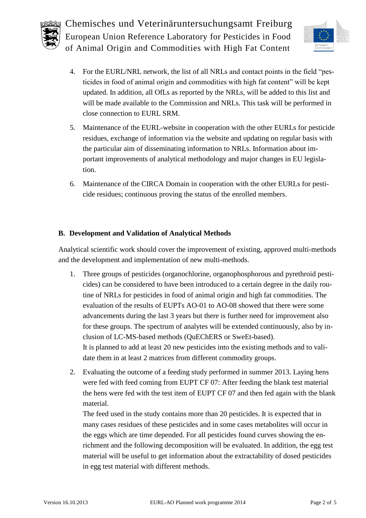



- 4. For the EURL/NRL network, the list of all NRLs and contact points in the field "pesticides in food of animal origin and commodities with high fat content" will be kept updated. In addition, all OfLs as reported by the NRLs, will be added to this list and will be made available to the Commission and NRLs. This task will be performed in close connection to EURL SRM.
- 5. Maintenance of the EURL-website in cooperation with the other EURLs for pesticide residues, exchange of information via the website and updating on regular basis with the particular aim of disseminating information to NRLs. Information about important improvements of analytical methodology and major changes in EU legislation.
- 6. Maintenance of the CIRCA Domain in cooperation with the other EURLs for pesticide residues; continuous proving the status of the enrolled members.

## **B. Development and Validation of Analytical Methods**

Analytical scientific work should cover the improvement of existing, approved multi-methods and the development and implementation of new multi-methods.

- 1. Three groups of pesticides (organochlorine, organophosphorous and pyrethroid pesticides) can be considered to have been introduced to a certain degree in the daily routine of NRLs for pesticides in food of animal origin and high fat commodities. The evaluation of the results of EUPTs AO-01 to AO-08 showed that there were some advancements during the last 3 years but there is further need for improvement also for these groups. The spectrum of analytes will be extended continuously, also by inclusion of LC-MS-based methods (QuEChERS or SweEt-based). It is planned to add at least 20 new pesticides into the existing methods and to validate them in at least 2 matrices from different commodity groups.
- 2. Evaluating the outcome of a feeding study performed in summer 2013. Laying hens were fed with feed coming from EUPT CF 07: After feeding the blank test material the hens were fed with the test item of EUPT CF 07 and then fed again with the blank material.

The feed used in the study contains more than 20 pesticides. It is expected that in many cases residues of these pesticides and in some cases metabolites will occur in the eggs which are time depended. For all pesticides found curves showing the enrichment and the following decomposition will be evaluated. In addition, the egg test material will be useful to get information about the extractability of dosed pesticides in egg test material with different methods.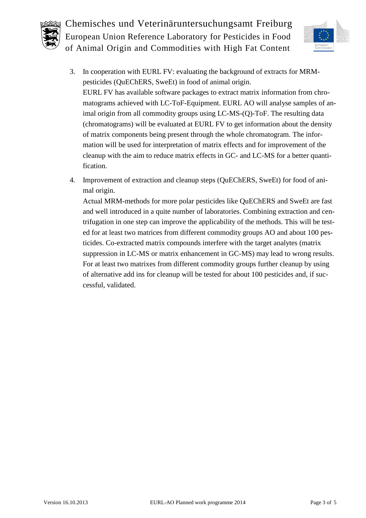



- 3. In cooperation with EURL FV: evaluating the background of extracts for MRMpesticides (QuEChERS, SweEt) in food of animal origin. EURL FV has available software packages to extract matrix information from chromatograms achieved with LC-ToF-Equipment. EURL AO will analyse samples of animal origin from all commodity groups using LC-MS-(Q)-ToF. The resulting data (chromatograms) will be evaluated at EURL FV to get information about the density of matrix components being present through the whole chromatogram. The information will be used for interpretation of matrix effects and for improvement of the cleanup with the aim to reduce matrix effects in GC- and LC-MS for a better quantification.
- 4. Improvement of extraction and cleanup steps (QuEChERS, SweEt) for food of animal origin.

Actual MRM-methods for more polar pesticides like QuEChERS and SweEt are fast and well introduced in a quite number of laboratories. Combining extraction and centrifugation in one step can improve the applicability of the methods. This will be tested for at least two matrices from different commodity groups AO and about 100 pesticides. Co-extracted matrix compounds interfere with the target analytes (matrix suppression in LC-MS or matrix enhancement in GC-MS) may lead to wrong results. For at least two matrixes from different commodity groups further cleanup by using of alternative add ins for cleanup will be tested for about 100 pesticides and, if successful, validated.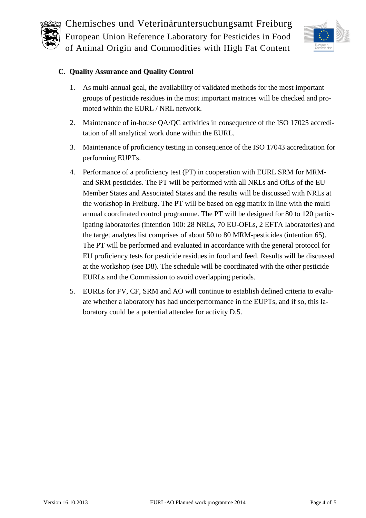



#### **C. Quality Assurance and Quality Control**

- 1. As multi-annual goal, the availability of validated methods for the most important groups of pesticide residues in the most important matrices will be checked and promoted within the EURL / NRL network.
- 2. Maintenance of in-house QA/QC activities in consequence of the ISO 17025 accreditation of all analytical work done within the EURL.
- 3. Maintenance of proficiency testing in consequence of the ISO 17043 accreditation for performing EUPTs.
- <span id="page-3-0"></span>4. Performance of a proficiency test (PT) in cooperation with EURL SRM for MRMand SRM pesticides. The PT will be performed with all NRLs and OfLs of the EU Member States and Associated States and the results will be discussed with NRLs at the workshop in Freiburg. The PT will be based on egg matrix in line with the multi annual coordinated control programme. The PT will be designed for 80 to 120 participating laboratories (intention 100: 28 NRLs, 70 EU-OFLs, 2 EFTA laboratories) and the target analytes list comprises of about 50 to 80 MRM-pesticides (intention 65). The PT will be performed and evaluated in accordance with the general protocol for EU proficiency tests for pesticide residues in food and feed. Results will be discussed at the workshop (see [D8\)](#page-4-0). The schedule will be coordinated with the other pesticide EURLs and the Commission to avoid overlapping periods.
- <span id="page-3-1"></span>5. EURLs for FV, CF, SRM and AO will continue to establish defined criteria to evaluate whether a laboratory has had underperformance in the EUPTs, and if so, this laboratory could be a potential attendee for activity D[.5.](#page-4-1)